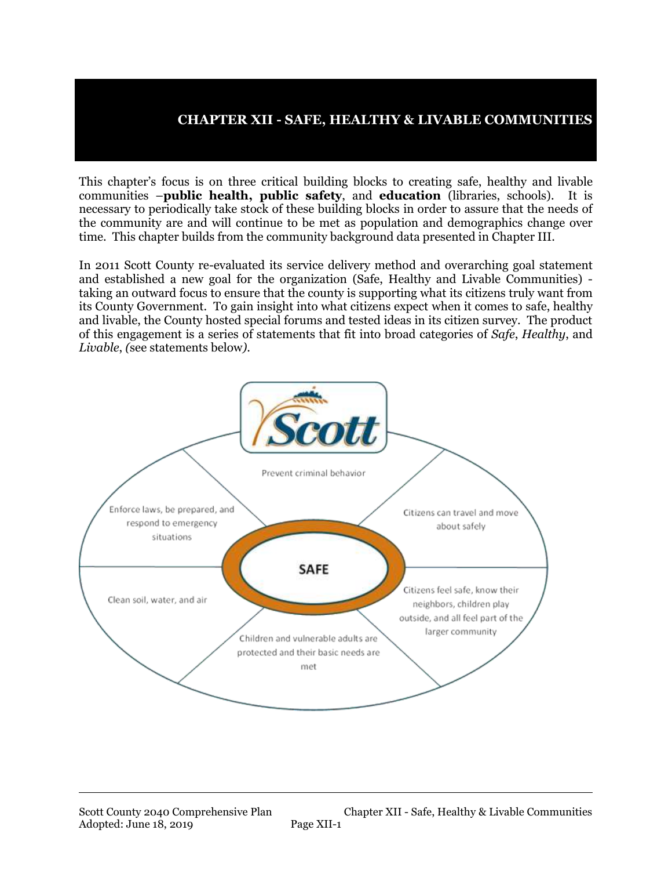### **CHAPTER XII - SAFE, HEALTHY & LIVABLE COMMUNITIES**

This chapter's focus is on three critical building blocks to creating safe, healthy and livable communities –**public health, public safety**, and **education** (libraries, schools). It is necessary to periodically take stock of these building blocks in order to assure that the needs of the community are and will continue to be met as population and demographics change over time. This chapter builds from the community background data presented in Chapter III.

In 2011 Scott County re-evaluated its service delivery method and overarching goal statement and established a new goal for the organization (Safe, Healthy and Livable Communities) taking an outward focus to ensure that the county is supporting what its citizens truly want from its County Government. To gain insight into what citizens expect when it comes to safe, healthy and livable, the County hosted special forums and tested ideas in its citizen survey. The product of this engagement is a series of statements that fit into broad categories of *Safe*, *Healthy*, and *Livable*, *(*see statements below*)*.

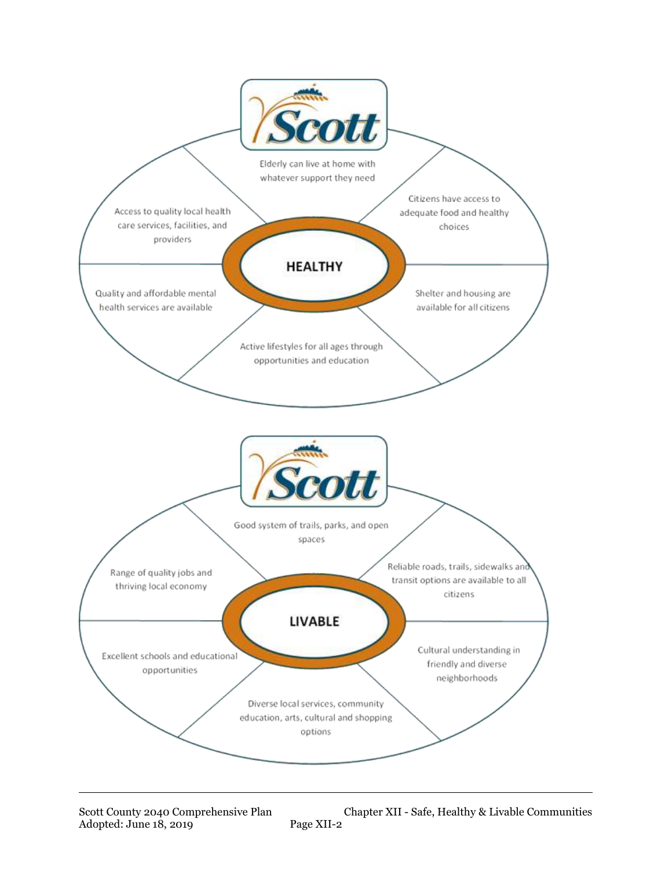

Scott County 2040 Comprehensive Plan Chapter XII - Safe, Healthy & Livable Communities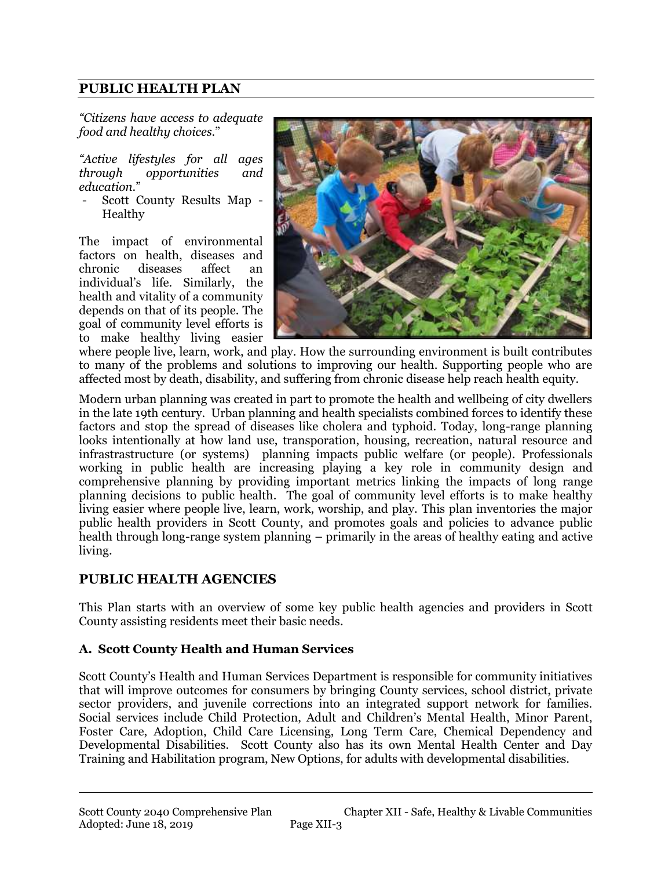### **PUBLIC HEALTH PLAN**

*"Citizens have access to adequate food and healthy choices*."

*"Active lifestyles for all ages through opportunities and education*."

- Scott County Results Map - Healthy

The impact of environmental factors on health, diseases and chronic diseases affect an individual's life. Similarly, the health and vitality of a community depends on that of its people. The goal of community level efforts is to make healthy living easier



where people live, learn, work, and play. How the surrounding environment is built contributes to many of the problems and solutions to improving our health. Supporting people who are affected most by death, disability, and suffering from chronic disease help reach health equity.

Modern urban planning was created in part to promote the health and wellbeing of city dwellers in the late 19th century. Urban planning and health specialists combined forces to identify these factors and stop the spread of diseases like cholera and typhoid. Today, long-range planning looks intentionally at how land use, transporation, housing, recreation, natural resource and infrastrastructure (or systems) planning impacts public welfare (or people). Professionals working in public health are increasing playing a key role in community design and comprehensive planning by providing important metrics linking the impacts of long range planning decisions to public health. The goal of community level efforts is to make healthy living easier where people live, learn, work, worship, and play. This plan inventories the major public health providers in Scott County, and promotes goals and policies to advance public health through long-range system planning – primarily in the areas of healthy eating and active living.

### **PUBLIC HEALTH AGENCIES**

This Plan starts with an overview of some key public health agencies and providers in Scott County assisting residents meet their basic needs.

#### **A. Scott County Health and Human Services**

Scott County's Health and Human Services Department is responsible for community initiatives that will improve outcomes for consumers by bringing County services, school district, private sector providers, and juvenile corrections into an integrated support network for families. Social services include Child Protection, Adult and Children's Mental Health, Minor Parent, Foster Care, Adoption, Child Care Licensing, Long Term Care, Chemical Dependency and Developmental Disabilities. Scott County also has its own Mental Health Center and Day Training and Habilitation program, New Options, for adults with developmental disabilities.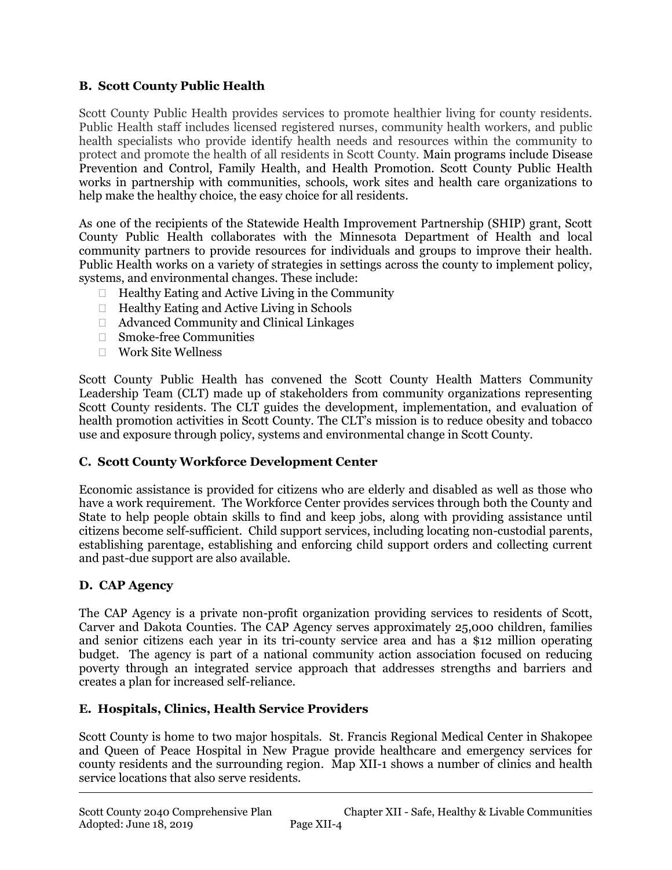#### **B. Scott County Public Health**

Scott County Public Health provides services to promote healthier living for county residents. Public Health staff includes licensed registered nurses, community health workers, and public health specialists who provide identify health needs and resources within the community to protect and promote the health of all residents in Scott County. Main programs include Disease Prevention and Control, Family Health, and Health Promotion. Scott County Public Health works in partnership with communities, schools, work sites and health care organizations to help make the healthy choice, the easy choice for all residents.

As one of the recipients of the Statewide Health Improvement Partnership (SHIP) grant, Scott County Public Health collaborates with the Minnesota Department of Health and local community partners to provide resources for individuals and groups to improve their health. Public Health works on a variety of strategies in settings across the county to implement policy, systems, and environmental changes. These include:

- $\Box$  Healthy Eating and Active Living in the Community
- $\Box$  Healthy Eating and Active Living in Schools
- Advanced Community and Clinical Linkages
- Smoke-free Communities
- Work Site Wellness

Scott County Public Health has convened the Scott County Health Matters Community Leadership Team (CLT) made up of stakeholders from community organizations representing Scott County residents. The CLT guides the development, implementation, and evaluation of health promotion activities in Scott County. The CLT's mission is to reduce obesity and tobacco use and exposure through policy, systems and environmental change in Scott County.

#### **C. Scott County Workforce Development Center**

Economic assistance is provided for citizens who are elderly and disabled as well as those who have a work requirement. The Workforce Center provides services through both the County and State to help people obtain skills to find and keep jobs, along with providing assistance until citizens become self-sufficient. Child support services, including locating non-custodial parents, establishing parentage, establishing and enforcing child support orders and collecting current and past-due support are also available.

### **D. CAP Agency**

The CAP Agency is a private non-profit organization providing services to residents of Scott, Carver and Dakota Counties. The CAP Agency serves approximately 25,000 children, families and senior citizens each year in its tri-county service area and has a \$12 million operating budget. The agency is part of a national community action association focused on reducing poverty through an integrated service approach that addresses strengths and barriers and creates a plan for increased self-reliance.

#### **E. Hospitals, Clinics, Health Service Providers**

Scott County is home to two major hospitals. St. Francis Regional Medical Center in Shakopee and Queen of Peace Hospital in New Prague provide healthcare and emergency services for county residents and the surrounding region. Map XII-1 shows a number of clinics and health service locations that also serve residents.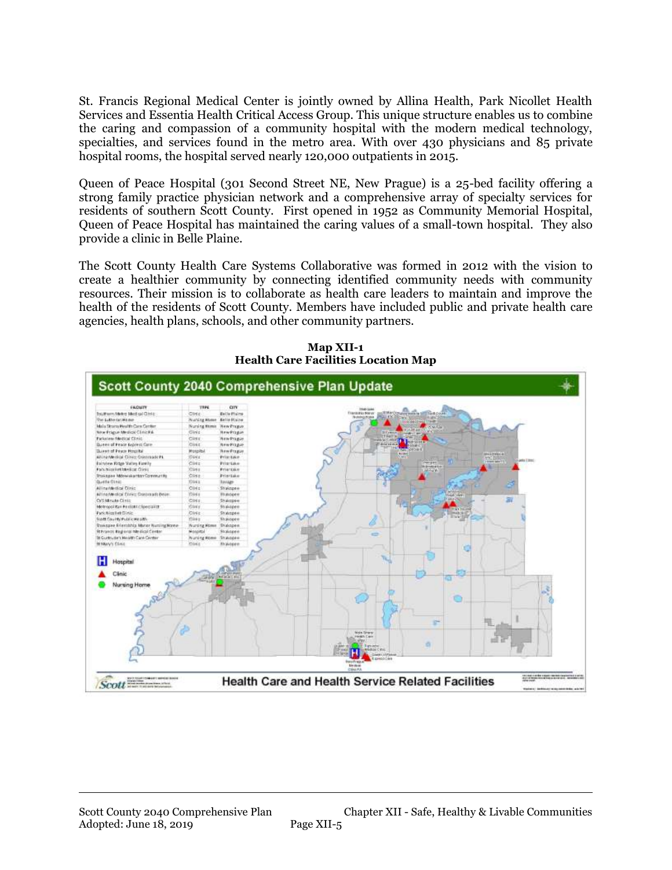St. Francis Regional Medical Center is jointly owned by Allina Health, Park Nicollet Health Services and Essentia Health Critical Access Group. This unique structure enables us to combine the caring and compassion of a community hospital with the modern medical technology, specialties, and services found in the metro area. With over 430 physicians and 85 private hospital rooms, the hospital served nearly 120,000 outpatients in 2015.

Queen of Peace Hospital (301 Second Street NE, New Prague) is a 25-bed facility offering a strong family practice physician network and a comprehensive array of specialty services for residents of southern Scott County. First opened in 1952 as Community Memorial Hospital, Queen of Peace Hospital has maintained the caring values of a small-town hospital. They also provide a clinic in Belle Plaine.

The Scott County Health Care Systems Collaborative was formed in 2012 with the vision to create a healthier community by connecting identified community needs with community resources. Their mission is to collaborate as health care leaders to maintain and improve the health of the residents of Scott County. Members have included public and private health care agencies, health plans, schools, and other community partners.



**Map XII-1 Health Care Facilities Location Map**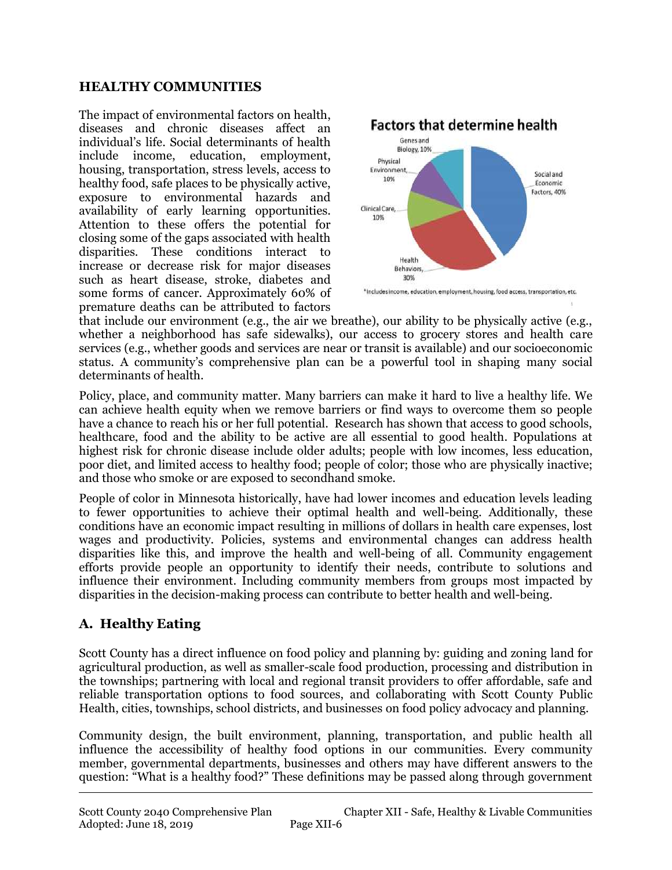#### **HEALTHY COMMUNITIES**

The impact of environmental factors on health, diseases and chronic diseases affect an individual's life. Social determinants of health include income, education, employment, housing, transportation, stress levels, access to healthy food, safe places to be physically active, exposure to environmental hazards and availability of early learning opportunities. Attention to these offers the potential for closing some of the gaps associated with health disparities. These conditions interact to increase or decrease risk for major diseases such as heart disease, stroke, diabetes and some forms of cancer. Approximately 60% of premature deaths can be attributed to factors



that include our environment (e.g., the air we breathe), our ability to be physically active (e.g., whether a neighborhood has safe sidewalks), our access to grocery stores and health care services (e.g., whether goods and services are near or transit is available) and our socioeconomic status. A community's comprehensive plan can be a powerful tool in shaping many social determinants of health.

Policy, place, and community matter. Many barriers can make it hard to live a healthy life. We can achieve health equity when we remove barriers or find ways to overcome them so people have a chance to reach his or her full potential. Research has shown that access to good schools, healthcare, food and the ability to be active are all essential to good health. Populations at highest risk for chronic disease include older adults; people with low incomes, less education, poor diet, and limited access to healthy food; people of color; those who are physically inactive; and those who smoke or are exposed to secondhand smoke.

People of color in Minnesota historically, have had lower incomes and education levels leading to fewer opportunities to achieve their optimal health and well-being. Additionally, these conditions have an economic impact resulting in millions of dollars in health care expenses, lost wages and productivity. Policies, systems and environmental changes can address health disparities like this, and improve the health and well-being of all. Community engagement efforts provide people an opportunity to identify their needs, contribute to solutions and influence their environment. Including community members from groups most impacted by disparities in the decision-making process can contribute to better health and well-being.

# **A. Healthy Eating**

Scott County has a direct influence on food policy and planning by: guiding and zoning land for agricultural production, as well as smaller-scale food production, processing and distribution in the townships; partnering with local and regional transit providers to offer affordable, safe and reliable transportation options to food sources, and collaborating with Scott County Public Health, cities, townships, school districts, and businesses on food policy advocacy and planning.

Community design, the built environment, planning, transportation, and public health all influence the accessibility of healthy food options in our communities. Every community member, governmental departments, businesses and others may have different answers to the question: "What is a healthy food?" These definitions may be passed along through government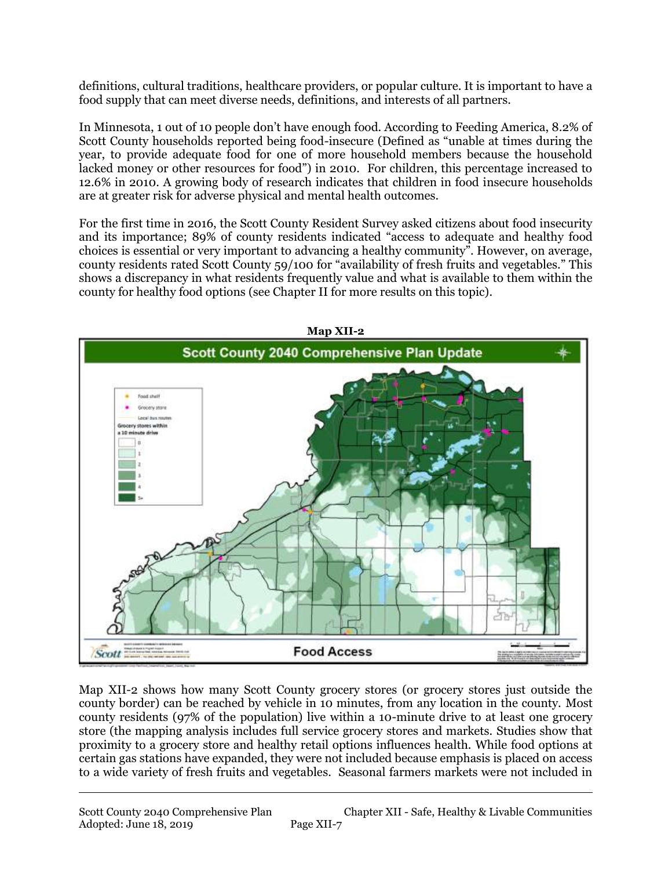definitions, cultural traditions, healthcare providers, or popular culture. It is important to have a food supply that can meet diverse needs, definitions, and interests of all partners.

In Minnesota, 1 out of 10 people don't have enough food. According to Feeding America, 8.2% of Scott County households reported being food-insecure (Defined as "unable at times during the year, to provide adequate food for one of more household members because the household lacked money or other resources for food") in 2010. For children, this percentage increased to 12.6% in 2010. A growing body of research indicates that children in food insecure households are at greater risk for adverse physical and mental health outcomes.

For the first time in 2016, the Scott County Resident Survey asked citizens about food insecurity and its importance; 89% of county residents indicated "access to adequate and healthy food choices is essential or very important to advancing a healthy community". However, on average, county residents rated Scott County 59/100 for "availability of fresh fruits and vegetables." This shows a discrepancy in what residents frequently value and what is available to them within the county for healthy food options (see Chapter II for more results on this topic).



Map XII-2 shows how many Scott County grocery stores (or grocery stores just outside the county border) can be reached by vehicle in 10 minutes, from any location in the county. Most county residents (97% of the population) live within a 10-minute drive to at least one grocery store (the mapping analysis includes full service grocery stores and markets. Studies show that proximity to a grocery store and healthy retail options influences health. While food options at certain gas stations have expanded, they were not included because emphasis is placed on access to a wide variety of fresh fruits and vegetables. Seasonal farmers markets were not included in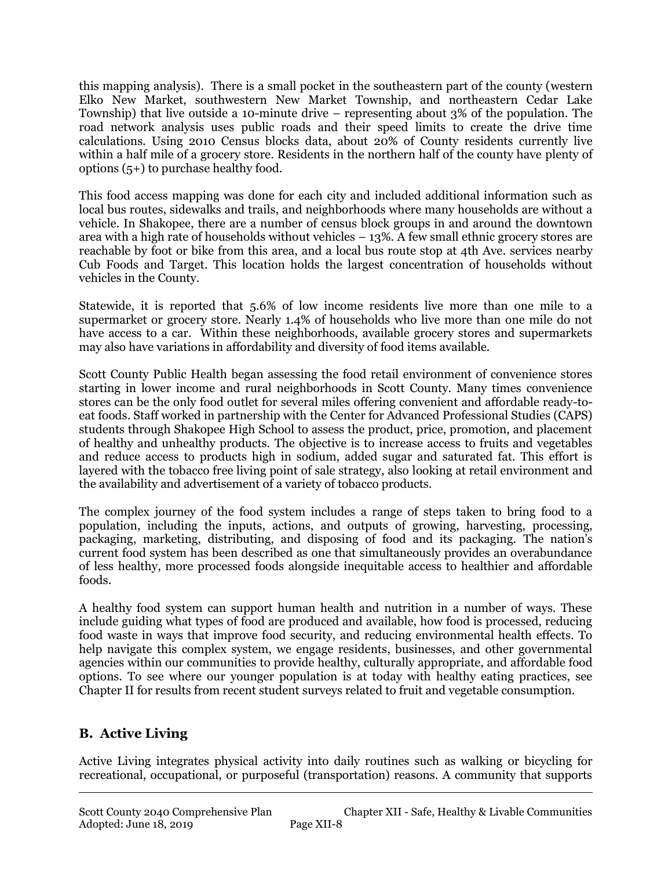this mapping analysis). There is a small pocket in the southeastern part of the county (western Elko New Market, southwestern New Market Township, and northeastern Cedar Lake Township) that live outside a 10-minute drive – representing about 3% of the population. The road network analysis uses public roads and their speed limits to create the drive time calculations. Using 2010 Census blocks data, about 20% of County residents currently live within a half mile of a grocery store. Residents in the northern half of the county have plenty of options (5+) to purchase healthy food.

This food access mapping was done for each city and included additional information such as local bus routes, sidewalks and trails, and neighborhoods where many households are without a vehicle. In Shakopee, there are a number of census block groups in and around the downtown area with a high rate of households without vehicles – 13%. A few small ethnic grocery stores are reachable by foot or bike from this area, and a local bus route stop at 4th Ave. services nearby Cub Foods and Target. This location holds the largest concentration of households without vehicles in the County.

Statewide, it is reported that 5.6% of low income residents live more than one mile to a supermarket or grocery store. Nearly 1.4% of households who live more than one mile do not have access to a car. Within these neighborhoods, available grocery stores and supermarkets may also have variations in affordability and diversity of food items available.

Scott County Public Health began assessing the food retail environment of convenience stores starting in lower income and rural neighborhoods in Scott County. Many times convenience stores can be the only food outlet for several miles offering convenient and affordable ready-toeat foods. Staff worked in partnership with the Center for Advanced Professional Studies (CAPS) students through Shakopee High School to assess the product, price, promotion, and placement of healthy and unhealthy products. The objective is to increase access to fruits and vegetables and reduce access to products high in sodium, added sugar and saturated fat. This effort is layered with the tobacco free living point of sale strategy, also looking at retail environment and the availability and advertisement of a variety of tobacco products.

The complex journey of the food system includes a range of steps taken to bring food to a population, including the inputs, actions, and outputs of growing, harvesting, processing, packaging, marketing, distributing, and disposing of food and its packaging. The nation's current food system has been described as one that simultaneously provides an overabundance of less healthy, more processed foods alongside inequitable access to healthier and affordable foods.

A healthy food system can support human health and nutrition in a number of ways. These include guiding what types of food are produced and available, how food is processed, reducing food waste in ways that improve food security, and reducing environmental health effects. To help navigate this complex system, we engage residents, businesses, and other governmental agencies within our communities to provide healthy, culturally appropriate, and affordable food options. To see where our younger population is at today with healthy eating practices, see Chapter II for results from recent student surveys related to fruit and vegetable consumption.

# **B. Active Living**

Active Living integrates physical activity into daily routines such as walking or bicycling for recreational, occupational, or purposeful (transportation) reasons. A community that supports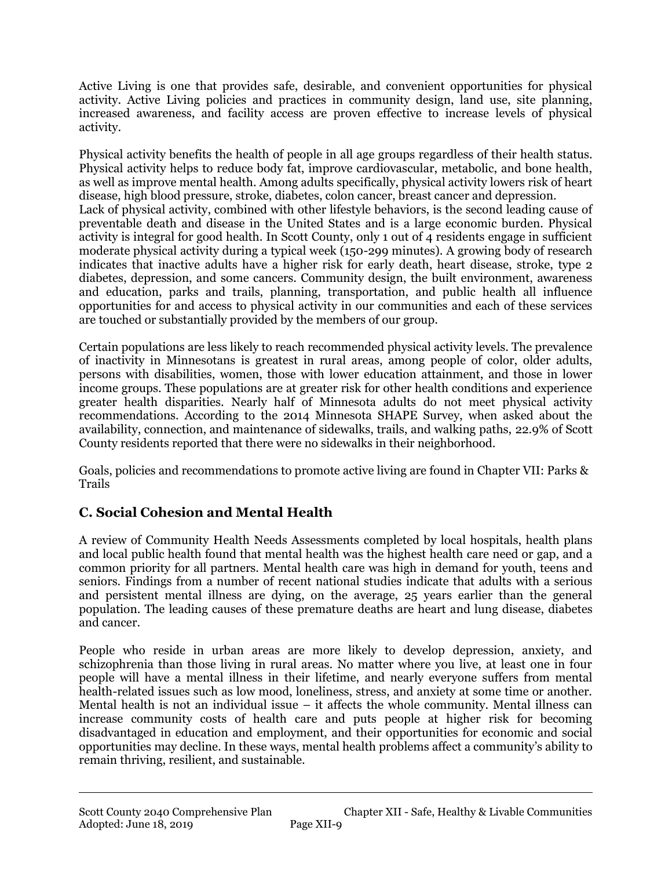Active Living is one that provides safe, desirable, and convenient opportunities for physical activity. Active Living policies and practices in community design, land use, site planning, increased awareness, and facility access are proven effective to increase levels of physical activity.

Physical activity benefits the health of people in all age groups regardless of their health status. Physical activity helps to reduce body fat, improve cardiovascular, metabolic, and bone health, as well as improve mental health. Among adults specifically, physical activity lowers risk of heart disease, high blood pressure, stroke, diabetes, colon cancer, breast cancer and depression. Lack of physical activity, combined with other lifestyle behaviors, is the second leading cause of preventable death and disease in the United States and is a large economic burden. Physical activity is integral for good health. In Scott County, only 1 out of 4 residents engage in sufficient moderate physical activity during a typical week (150-299 minutes). A growing body of research indicates that inactive adults have a higher risk for early death, heart disease, stroke, type 2 diabetes, depression, and some cancers. Community design, the built environment, awareness and education, parks and trails, planning, transportation, and public health all influence opportunities for and access to physical activity in our communities and each of these services are touched or substantially provided by the members of our group.

Certain populations are less likely to reach recommended physical activity levels. The prevalence of inactivity in Minnesotans is greatest in rural areas, among people of color, older adults, persons with disabilities, women, those with lower education attainment, and those in lower income groups. These populations are at greater risk for other health conditions and experience greater health disparities. Nearly half of Minnesota adults do not meet physical activity recommendations. According to the 2014 Minnesota SHAPE Survey, when asked about the availability, connection, and maintenance of sidewalks, trails, and walking paths, 22.9% of Scott County residents reported that there were no sidewalks in their neighborhood.

Goals, policies and recommendations to promote active living are found in Chapter VII: Parks & Trails

# **C. Social Cohesion and Mental Health**

A review of Community Health Needs Assessments completed by local hospitals, health plans and local public health found that mental health was the highest health care need or gap, and a common priority for all partners. Mental health care was high in demand for youth, teens and seniors. Findings from a number of recent national studies indicate that adults with a serious and persistent mental illness are dying, on the average, 25 years earlier than the general population. The leading causes of these premature deaths are heart and lung disease, diabetes and cancer.

People who reside in urban areas are more likely to develop depression, anxiety, and schizophrenia than those living in rural areas. No matter where you live, at least one in four people will have a mental illness in their lifetime, and nearly everyone suffers from mental health-related issues such as low mood, loneliness, stress, and anxiety at some time or another. Mental health is not an individual issue – it affects the whole community. Mental illness can increase community costs of health care and puts people at higher risk for becoming disadvantaged in education and employment, and their opportunities for economic and social opportunities may decline. In these ways, mental health problems affect a community's ability to remain thriving, resilient, and sustainable.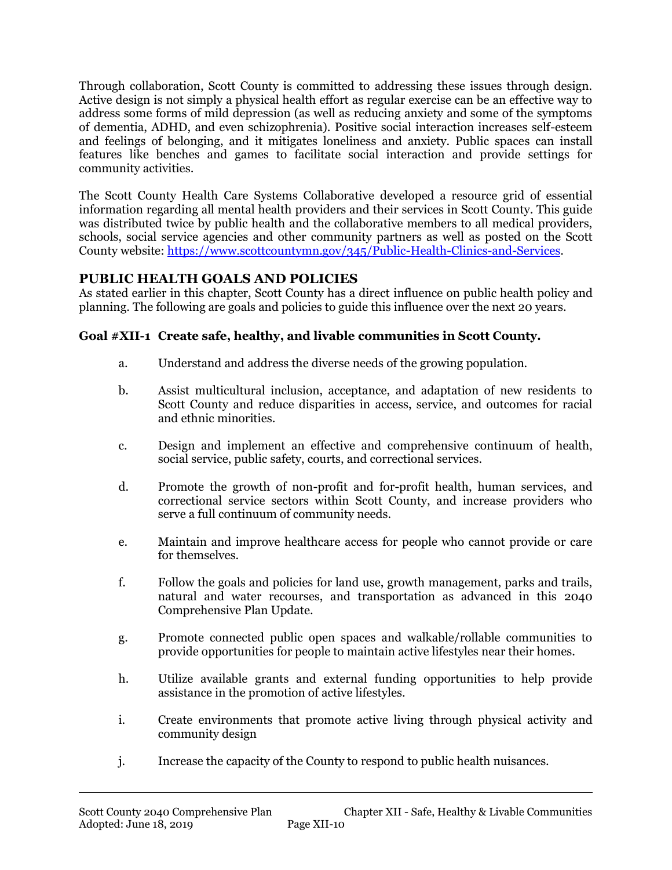Through collaboration, Scott County is committed to addressing these issues through design. Active design is not simply a physical health effort as regular exercise can be an effective way to address some forms of mild depression (as well as reducing anxiety and some of the symptoms of dementia, ADHD, and even schizophrenia). Positive social interaction increases self-esteem and feelings of belonging, and it mitigates loneliness and anxiety. Public spaces can install features like benches and games to facilitate social interaction and provide settings for community activities.

The Scott County Health Care Systems Collaborative developed a resource grid of essential information regarding all mental health providers and their services in Scott County. This guide was distributed twice by public health and the collaborative members to all medical providers, schools, social service agencies and other community partners as well as posted on the Scott County website: [https://www.scottcountymn.gov/345/Public-Health-Clinics-and-Services.](https://www.scottcountymn.gov/345/Public-Health-Clinics-and-Services)

### **PUBLIC HEALTH GOALS AND POLICIES**

As stated earlier in this chapter, Scott County has a direct influence on public health policy and planning. The following are goals and policies to guide this influence over the next 20 years.

### **Goal #XII-1 Create safe, healthy, and livable communities in Scott County.**

- a. Understand and address the diverse needs of the growing population.
- b. Assist multicultural inclusion, acceptance, and adaptation of new residents to Scott County and reduce disparities in access, service, and outcomes for racial and ethnic minorities.
- c. Design and implement an effective and comprehensive continuum of health, social service, public safety, courts, and correctional services.
- d. Promote the growth of non-profit and for-profit health, human services, and correctional service sectors within Scott County, and increase providers who serve a full continuum of community needs.
- e. Maintain and improve healthcare access for people who cannot provide or care for themselves.
- f. Follow the goals and policies for land use, growth management, parks and trails, natural and water recourses, and transportation as advanced in this 2040 Comprehensive Plan Update.
- g. Promote connected public open spaces and walkable/rollable communities to provide opportunities for people to maintain active lifestyles near their homes.
- h. Utilize available grants and external funding opportunities to help provide assistance in the promotion of active lifestyles.
- i. Create environments that promote active living through physical activity and community design
- j. Increase the capacity of the County to respond to public health nuisances.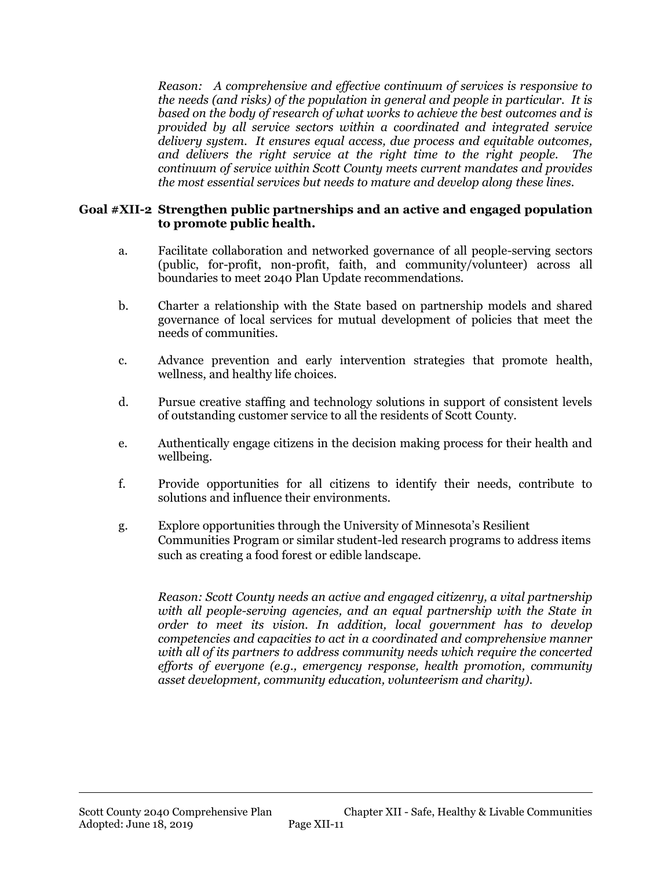*Reason: A comprehensive and effective continuum of services is responsive to the needs (and risks) of the population in general and people in particular. It is based on the body of research of what works to achieve the best outcomes and is provided by all service sectors within a coordinated and integrated service delivery system. It ensures equal access, due process and equitable outcomes, and delivers the right service at the right time to the right people. The continuum of service within Scott County meets current mandates and provides the most essential services but needs to mature and develop along these lines.* 

#### **Goal #XII-2 Strengthen public partnerships and an active and engaged population to promote public health.**

- a. Facilitate collaboration and networked governance of all people-serving sectors (public, for-profit, non-profit, faith, and community/volunteer) across all boundaries to meet 2040 Plan Update recommendations.
- b. Charter a relationship with the State based on partnership models and shared governance of local services for mutual development of policies that meet the needs of communities.
- c. Advance prevention and early intervention strategies that promote health, wellness, and healthy life choices.
- d. Pursue creative staffing and technology solutions in support of consistent levels of outstanding customer service to all the residents of Scott County.
- e. Authentically engage citizens in the decision making process for their health and wellbeing.
- f. Provide opportunities for all citizens to identify their needs, contribute to solutions and influence their environments.
- g. Explore opportunities through the University of Minnesota's Resilient Communities Program or similar student-led research programs to address items such as creating a food forest or edible landscape.

*Reason: Scott County needs an active and engaged citizenry, a vital partnership with all people-serving agencies, and an equal partnership with the State in order to meet its vision. In addition, local government has to develop competencies and capacities to act in a coordinated and comprehensive manner with all of its partners to address community needs which require the concerted efforts of everyone (e.g., emergency response, health promotion, community asset development, community education, volunteerism and charity).*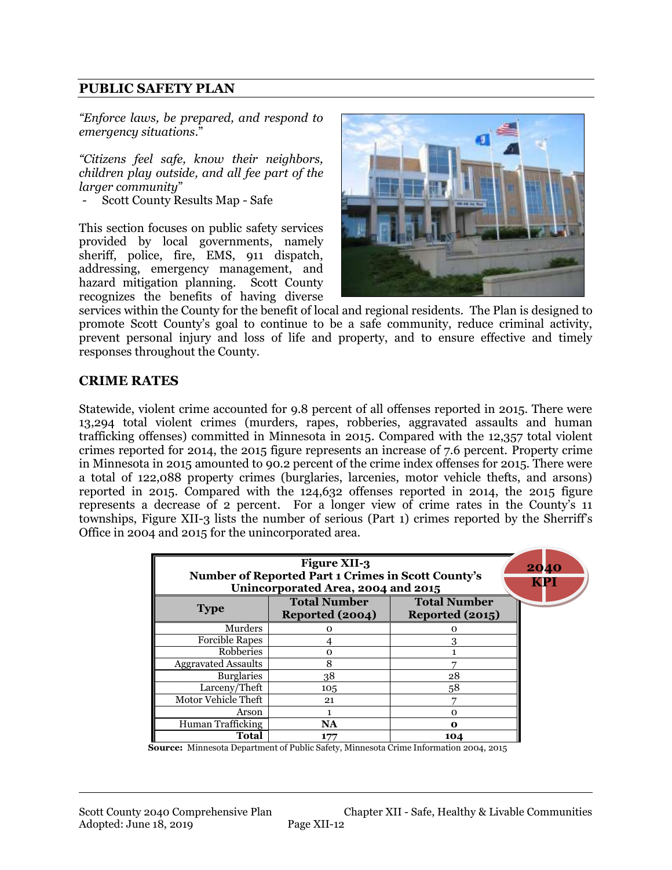#### **PUBLIC SAFETY PLAN**

*"Enforce laws, be prepared, and respond to emergency situations*."

*"Citizens feel safe, know their neighbors, children play outside, and all fee part of the larger community*"

- Scott County Results Map - Safe

This section focuses on public safety services provided by local governments, namely sheriff, police, fire, EMS, 911 dispatch, addressing, emergency management, and hazard mitigation planning. Scott County recognizes the benefits of having diverse



services within the County for the benefit of local and regional residents. The Plan is designed to promote Scott County's goal to continue to be a safe community, reduce criminal activity, prevent personal injury and loss of life and property, and to ensure effective and timely responses throughout the County.

#### **CRIME RATES**

Statewide, violent crime accounted for 9.8 percent of all offenses reported in 2015. There were 13,294 total violent crimes (murders, rapes, robberies, aggravated assaults and human trafficking offenses) committed in Minnesota in 2015. Compared with the 12,357 total violent crimes reported for 2014, the 2015 figure represents an increase of 7.6 percent. Property crime in Minnesota in 2015 amounted to 90.2 percent of the crime index offenses for 2015. There were a total of 122,088 property crimes (burglaries, larcenies, motor vehicle thefts, and arsons) reported in 2015. Compared with the 124,632 offenses reported in 2014, the 2015 figure represents a decrease of 2 percent. For a longer view of crime rates in the County's 11 townships, Figure XII-3 lists the number of serious (Part 1) crimes reported by the Sherriff's Office in 2004 and 2015 for the unincorporated area.

| <b>Number of Reported Part 1 Crimes in Scott County's</b><br>Unincorporated Area, 2004 and 2015 | 2040<br>KPI                            |                                        |  |
|-------------------------------------------------------------------------------------------------|----------------------------------------|----------------------------------------|--|
| <b>Type</b>                                                                                     | <b>Total Number</b><br>Reported (2004) | <b>Total Number</b><br>Reported (2015) |  |
| Murders                                                                                         | Ω                                      | Ω                                      |  |
| <b>Forcible Rapes</b>                                                                           |                                        | 3                                      |  |
| Robberies                                                                                       | റ                                      |                                        |  |
| <b>Aggravated Assaults</b>                                                                      | 8                                      |                                        |  |
| <b>Burglaries</b>                                                                               | 38                                     | 28                                     |  |
| Larceny/Theft                                                                                   | 105                                    | 58                                     |  |
| Motor Vehicle Theft                                                                             | 21                                     |                                        |  |
| Arson                                                                                           |                                        | O                                      |  |
| Human Trafficking                                                                               | <b>NA</b>                              | Λ                                      |  |
| Total                                                                                           | 177                                    | 104                                    |  |

**Source:** Minnesota Department of Public Safety, Minnesota Crime Information 2004, 2015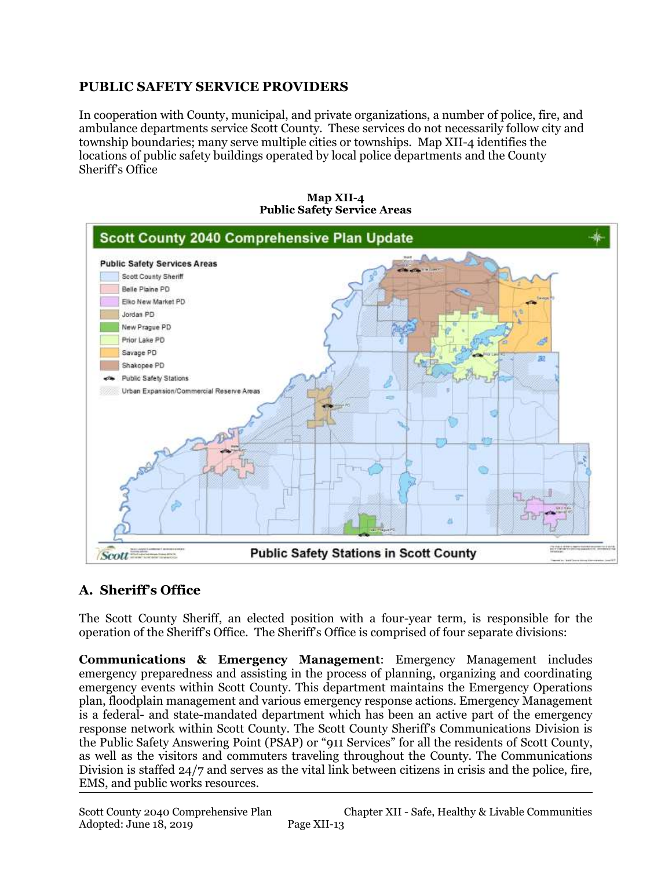### **PUBLIC SAFETY SERVICE PROVIDERS**

In cooperation with County, municipal, and private organizations, a number of police, fire, and ambulance departments service Scott County. These services do not necessarily follow city and township boundaries; many serve multiple cities or townships. Map XII-4 identifies the locations of public safety buildings operated by local police departments and the County Sheriff's Office



**Map XII-4 Public Safety Service Areas**

# **A. Sheriff's Office**

The Scott County Sheriff, an elected position with a four-year term, is responsible for the operation of the Sheriff's Office. The Sheriff's Office is comprised of four separate divisions:

**Communications & Emergency Management**: Emergency Management includes emergency preparedness and assisting in the process of planning, organizing and coordinating emergency events within Scott County. This department maintains the Emergency Operations plan, floodplain management and various emergency response actions. Emergency Management is a federal- and state-mandated department which has been an active part of the emergency response network within Scott County. The Scott County Sheriff's Communications Division is the Public Safety Answering Point (PSAP) or "911 Services" for all the residents of Scott County, as well as the visitors and commuters traveling throughout the County. The Communications Division is staffed 24/7 and serves as the vital link between citizens in crisis and the police, fire, EMS, and public works resources.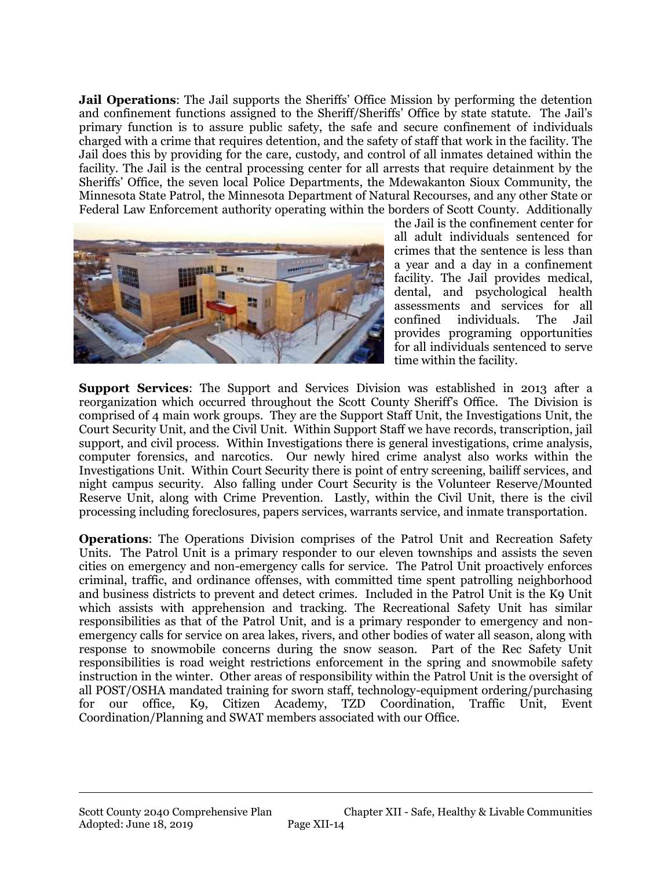**Jail Operations**: The Jail supports the Sheriffs' Office Mission by performing the detention and confinement functions assigned to the Sheriff/Sheriffs' Office by state statute. The Jail's primary function is to assure public safety, the safe and secure confinement of individuals charged with a crime that requires detention, and the safety of staff that work in the facility. The Jail does this by providing for the care, custody, and control of all inmates detained within the facility. The Jail is the central processing center for all arrests that require detainment by the Sheriffs' Office, the seven local Police Departments, the Mdewakanton Sioux Community, the Minnesota State Patrol, the Minnesota Department of Natural Recourses, and any other State or Federal Law Enforcement authority operating within the borders of Scott County. Additionally



the Jail is the confinement center for all adult individuals sentenced for crimes that the sentence is less than a year and a day in a confinement facility. The Jail provides medical, dental, and psychological health assessments and services for all confined individuals. The Jail provides programing opportunities for all individuals sentenced to serve time within the facility.

**Support Services**: The Support and Services Division was established in 2013 after a reorganization which occurred throughout the Scott County Sheriff's Office. The Division is comprised of 4 main work groups. They are the Support Staff Unit, the Investigations Unit, the Court Security Unit, and the Civil Unit. Within Support Staff we have records, transcription, jail support, and civil process. Within Investigations there is general investigations, crime analysis, computer forensics, and narcotics. Our newly hired crime analyst also works within the Investigations Unit. Within Court Security there is point of entry screening, bailiff services, and night campus security. Also falling under Court Security is the Volunteer Reserve/Mounted Reserve Unit, along with Crime Prevention. Lastly, within the Civil Unit, there is the civil processing including foreclosures, papers services, warrants service, and inmate transportation.

**Operations**: The Operations Division comprises of the Patrol Unit and Recreation Safety Units. The Patrol Unit is a primary responder to our eleven townships and assists the seven cities on emergency and non-emergency calls for service. The Patrol Unit proactively enforces criminal, traffic, and ordinance offenses, with committed time spent patrolling neighborhood and business districts to prevent and detect crimes. Included in the Patrol Unit is the K9 Unit which assists with apprehension and tracking. The Recreational Safety Unit has similar responsibilities as that of the Patrol Unit, and is a primary responder to emergency and nonemergency calls for service on area lakes, rivers, and other bodies of water all season, along with response to snowmobile concerns during the snow season. Part of the Rec Safety Unit responsibilities is road weight restrictions enforcement in the spring and snowmobile safety instruction in the winter. Other areas of responsibility within the Patrol Unit is the oversight of all POST/OSHA mandated training for sworn staff, technology-equipment ordering/purchasing for our office, K9, Citizen Academy, TZD Coordination, Traffic Unit, Event Coordination/Planning and SWAT members associated with our Office.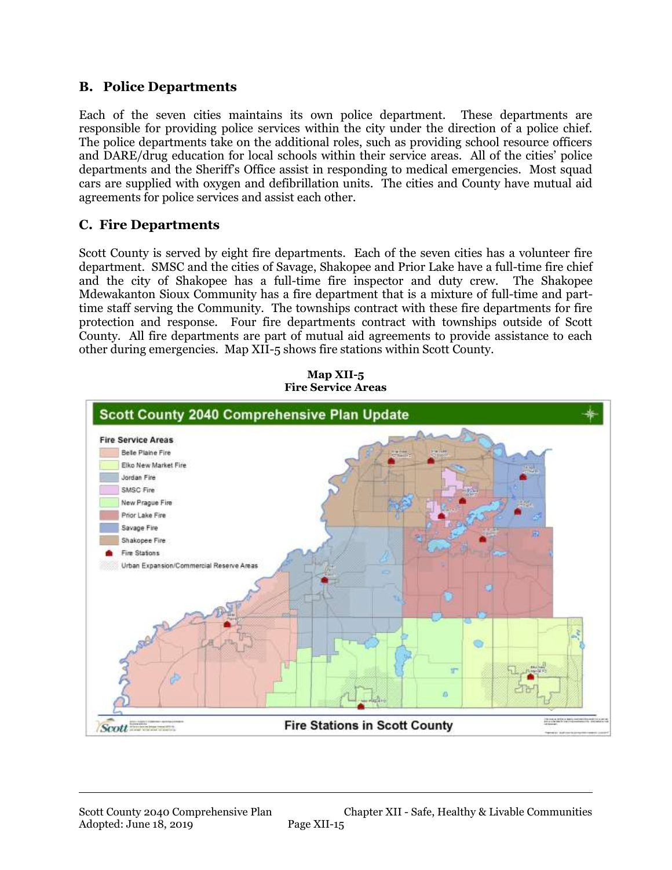#### **B. Police Departments**

Each of the seven cities maintains its own police department. These departments are responsible for providing police services within the city under the direction of a police chief. The police departments take on the additional roles, such as providing school resource officers and DARE/drug education for local schools within their service areas. All of the cities' police departments and the Sheriff's Office assist in responding to medical emergencies. Most squad cars are supplied with oxygen and defibrillation units. The cities and County have mutual aid agreements for police services and assist each other.

### **C. Fire Departments**

Scott County is served by eight fire departments. Each of the seven cities has a volunteer fire department. SMSC and the cities of Savage, Shakopee and Prior Lake have a full-time fire chief and the city of Shakopee has a full-time fire inspector and duty crew. The Shakopee Mdewakanton Sioux Community has a fire department that is a mixture of full-time and parttime staff serving the Community. The townships contract with these fire departments for fire protection and response. Four fire departments contract with townships outside of Scott County. All fire departments are part of mutual aid agreements to provide assistance to each other during emergencies. Map XII-5 shows fire stations within Scott County.



**Map XII-5 Fire Service Areas**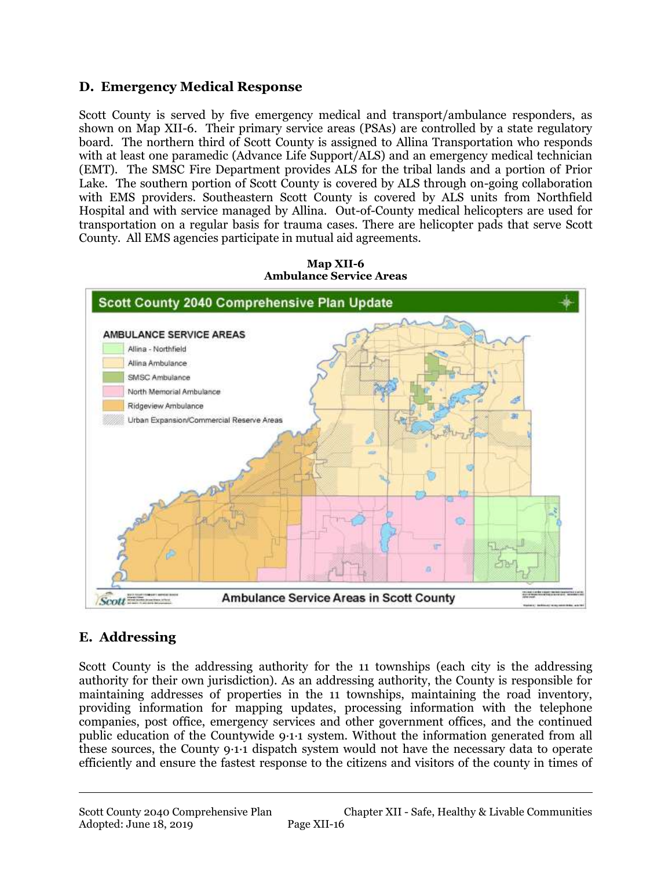### **D. Emergency Medical Response**

Scott County is served by five emergency medical and transport/ambulance responders, as shown on Map XII-6. Their primary service areas (PSAs) are controlled by a state regulatory board. The northern third of Scott County is assigned to Allina Transportation who responds with at least one paramedic (Advance Life Support/ALS) and an emergency medical technician (EMT). The SMSC Fire Department provides ALS for the tribal lands and a portion of Prior Lake. The southern portion of Scott County is covered by ALS through on-going collaboration with EMS providers. Southeastern Scott County is covered by ALS units from Northfield Hospital and with service managed by Allina. Out-of-County medical helicopters are used for transportation on a regular basis for trauma cases. There are helicopter pads that serve Scott County. All EMS agencies participate in mutual aid agreements.



**Map XII-6 Ambulance Service Areas**

# **E. Addressing**

Scott County is the addressing authority for the 11 townships (each city is the addressing authority for their own jurisdiction). As an addressing authority, the County is responsible for maintaining addresses of properties in the 11 townships, maintaining the road inventory, providing information for mapping updates, processing information with the telephone companies, post office, emergency services and other government offices, and the continued public education of the Countywide 9·1·1 system. Without the information generated from all these sources, the County 9·1·1 dispatch system would not have the necessary data to operate efficiently and ensure the fastest response to the citizens and visitors of the county in times of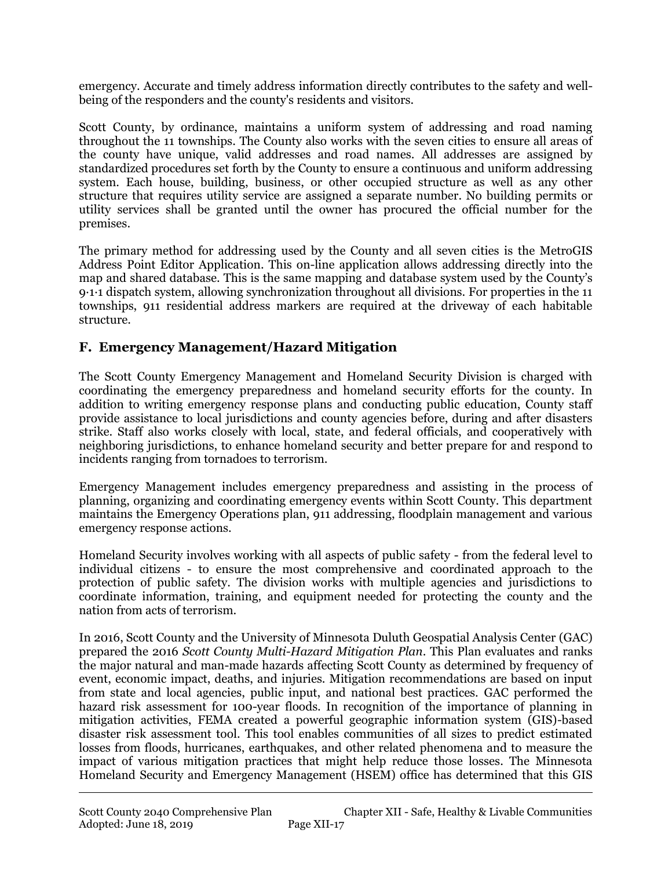emergency. Accurate and timely address information directly contributes to the safety and wellbeing of the responders and the county's residents and visitors.

Scott County, by ordinance, maintains a uniform system of addressing and road naming throughout the 11 townships. The County also works with the seven cities to ensure all areas of the county have unique, valid addresses and road names. All addresses are assigned by standardized procedures set forth by the County to ensure a continuous and uniform addressing system. Each house, building, business, or other occupied structure as well as any other structure that requires utility service are assigned a separate number. No building permits or utility services shall be granted until the owner has procured the official number for the premises.

The primary method for addressing used by the County and all seven cities is the MetroGIS Address Point Editor Application. This on-line application allows addressing directly into the map and shared database. This is the same mapping and database system used by the County's 9·1·1 dispatch system, allowing synchronization throughout all divisions. For properties in the 11 townships, 911 residential address markers are required at the driveway of each habitable structure.

### **F. Emergency Management/Hazard Mitigation**

The Scott County Emergency Management and Homeland Security Division is charged with coordinating the emergency preparedness and homeland security efforts for the county. In addition to writing emergency response plans and conducting public education, County staff provide assistance to local jurisdictions and county agencies before, during and after disasters strike. Staff also works closely with local, state, and federal officials, and cooperatively with neighboring jurisdictions, to enhance homeland security and better prepare for and respond to incidents ranging from tornadoes to terrorism.

Emergency Management includes emergency preparedness and assisting in the process of planning, organizing and coordinating emergency events within Scott County. This department maintains the Emergency Operations plan, 911 addressing, floodplain management and various emergency response actions.

Homeland Security involves working with all aspects of public safety - from the federal level to individual citizens - to ensure the most comprehensive and coordinated approach to the protection of public safety. The division works with multiple agencies and jurisdictions to coordinate information, training, and equipment needed for protecting the county and the nation from acts of terrorism.

In 2016, Scott County and the University of Minnesota Duluth Geospatial Analysis Center (GAC) prepared the 2016 *Scott County Multi-Hazard Mitigation Plan*. This Plan evaluates and ranks the major natural and man-made hazards affecting Scott County as determined by frequency of event, economic impact, deaths, and injuries. Mitigation recommendations are based on input from state and local agencies, public input, and national best practices. GAC performed the hazard risk assessment for 100-year floods. In recognition of the importance of planning in mitigation activities, FEMA created a powerful geographic information system (GIS)-based disaster risk assessment tool. This tool enables communities of all sizes to predict estimated losses from floods, hurricanes, earthquakes, and other related phenomena and to measure the impact of various mitigation practices that might help reduce those losses. The Minnesota Homeland Security and Emergency Management (HSEM) office has determined that this GIS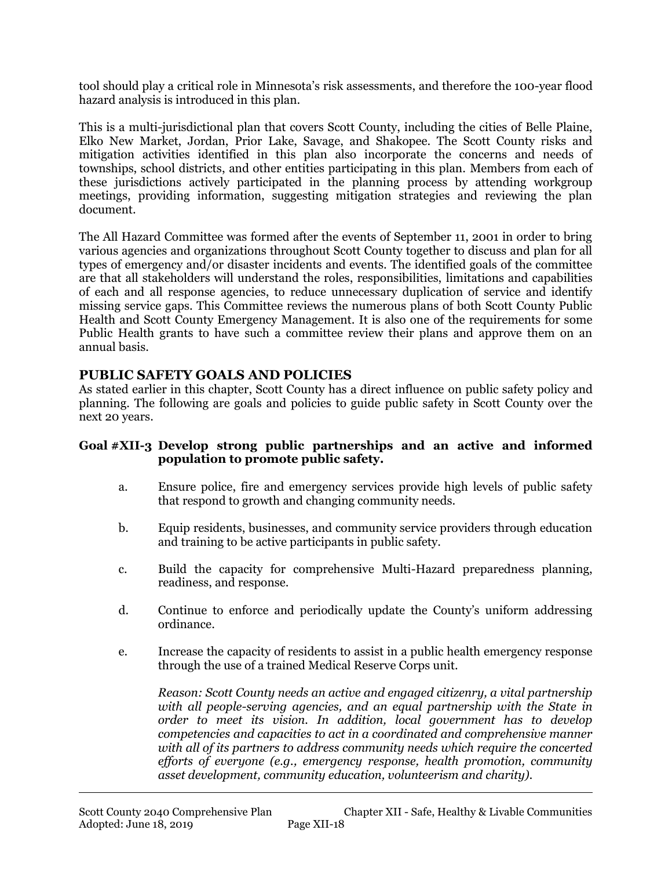tool should play a critical role in Minnesota's risk assessments, and therefore the 100-year flood hazard analysis is introduced in this plan.

This is a multi-jurisdictional plan that covers Scott County, including the cities of Belle Plaine, Elko New Market, Jordan, Prior Lake, Savage, and Shakopee. The Scott County risks and mitigation activities identified in this plan also incorporate the concerns and needs of townships, school districts, and other entities participating in this plan. Members from each of these jurisdictions actively participated in the planning process by attending workgroup meetings, providing information, suggesting mitigation strategies and reviewing the plan document.

The All Hazard Committee was formed after the events of September 11, 2001 in order to bring various agencies and organizations throughout Scott County together to discuss and plan for all types of emergency and/or disaster incidents and events. The identified goals of the committee are that all stakeholders will understand the roles, responsibilities, limitations and capabilities of each and all response agencies, to reduce unnecessary duplication of service and identify missing service gaps. This Committee reviews the numerous plans of both Scott County Public Health and Scott County Emergency Management. It is also one of the requirements for some Public Health grants to have such a committee review their plans and approve them on an annual basis.

#### **PUBLIC SAFETY GOALS AND POLICIES**

As stated earlier in this chapter, Scott County has a direct influence on public safety policy and planning. The following are goals and policies to guide public safety in Scott County over the next 20 years.

#### **Goal #XII-3 Develop strong public partnerships and an active and informed population to promote public safety.**

- a. Ensure police, fire and emergency services provide high levels of public safety that respond to growth and changing community needs.
- b. Equip residents, businesses, and community service providers through education and training to be active participants in public safety.
- c. Build the capacity for comprehensive Multi-Hazard preparedness planning, readiness, and response.
- d. Continue to enforce and periodically update the County's uniform addressing ordinance.
- e. Increase the capacity of residents to assist in a public health emergency response through the use of a trained Medical Reserve Corps unit.

*Reason: Scott County needs an active and engaged citizenry, a vital partnership with all people-serving agencies, and an equal partnership with the State in order to meet its vision. In addition, local government has to develop competencies and capacities to act in a coordinated and comprehensive manner with all of its partners to address community needs which require the concerted efforts of everyone (e.g., emergency response, health promotion, community asset development, community education, volunteerism and charity).*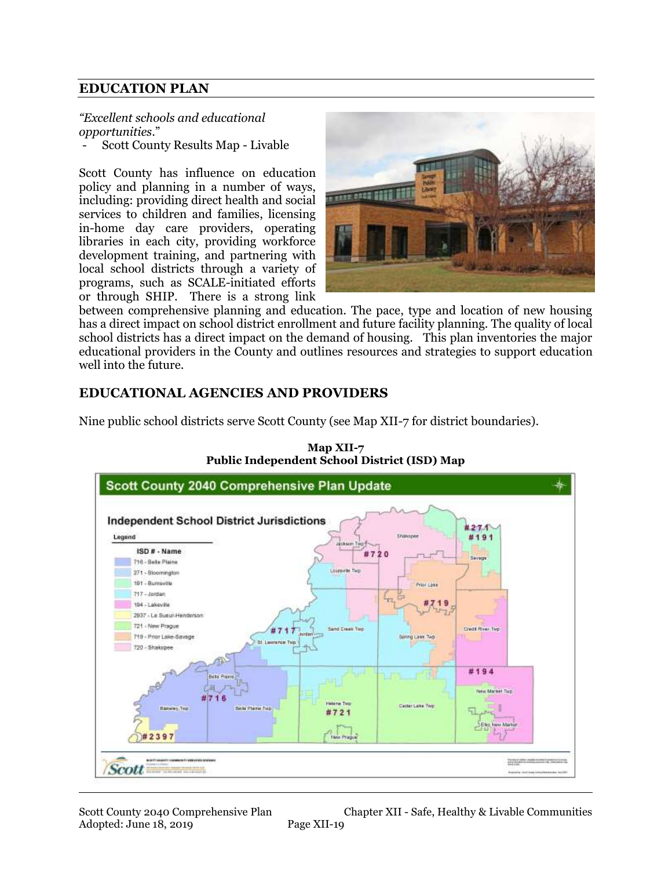#### **EDUCATION PLAN**

*"Excellent schools and educational opportunities*."

- Scott County Results Map - Livable

Scott County has influence on education policy and planning in a number of ways, including: providing direct health and social services to children and families, licensing in-home day care providers, operating libraries in each city, providing workforce development training, and partnering with local school districts through a variety of programs, such as SCALE-initiated efforts or through SHIP. There is a strong link



between comprehensive planning and education. The pace, type and location of new housing has a direct impact on school district enrollment and future facility planning. The quality of local school districts has a direct impact on the demand of housing. This plan inventories the major educational providers in the County and outlines resources and strategies to support education well into the future.

#### **EDUCATIONAL AGENCIES AND PROVIDERS**

Nine public school districts serve Scott County (see Map XII-7 for district boundaries).



**Map XII-7 Public Independent School District (ISD) Map**

Scott County 2040 Comprehensive Plan Chapter XII - Safe, Healthy & Livable Communities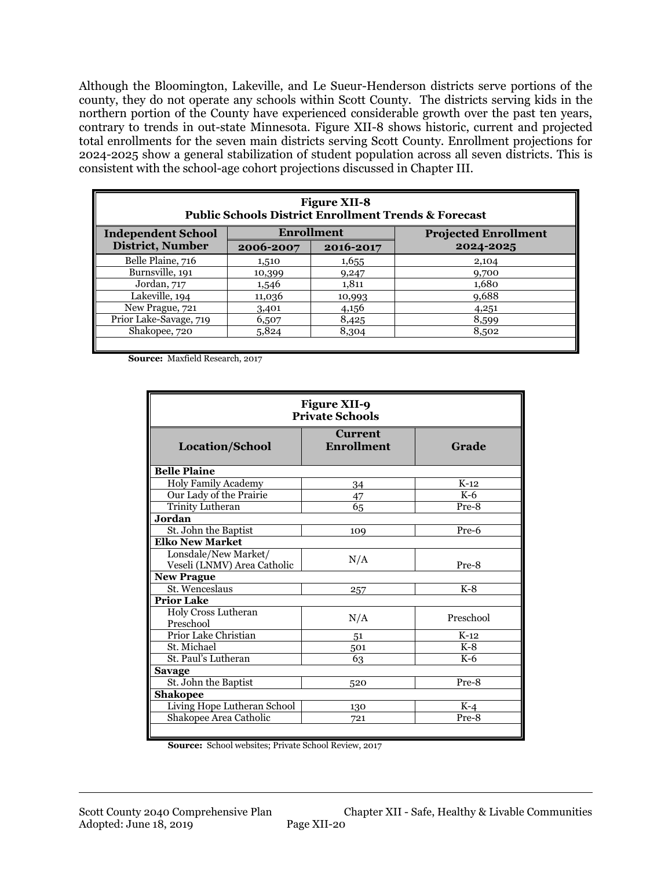Although the Bloomington, Lakeville, and Le Sueur-Henderson districts serve portions of the county, they do not operate any schools within Scott County. The districts serving kids in the northern portion of the County have experienced considerable growth over the past ten years, contrary to trends in out-state Minnesota. Figure XII-8 shows historic, current and projected total enrollments for the seven main districts serving Scott County. Enrollment projections for 2024-2025 show a general stabilization of student population across all seven districts. This is consistent with the school-age cohort projections discussed in Chapter III.

| <b>Figure XII-8</b><br><b>Public Schools District Enrollment Trends &amp; Forecast</b> |            |           |                             |  |  |
|----------------------------------------------------------------------------------------|------------|-----------|-----------------------------|--|--|
| <b>Independent School</b>                                                              | Enrollment |           | <b>Projected Enrollment</b> |  |  |
| <b>District, Number</b>                                                                | 2006-2007  | 2016-2017 | 2024-2025                   |  |  |
| Belle Plaine, 716                                                                      | 1,510      | 1,655     | 2,104                       |  |  |
| Burnsville, 191                                                                        | 10,399     | 9,247     | 9,700                       |  |  |
| Jordan, 717                                                                            | 1,546      | 1,811     | 1,680                       |  |  |
| Lakeville, 194                                                                         | 11,036     | 10,993    | 9,688                       |  |  |
| New Prague, 721                                                                        | 3,401      | 4,156     | 4,251                       |  |  |
| Prior Lake-Savage, 719                                                                 | 6,507      | 8,425     | 8,599                       |  |  |
| Shakopee, 720                                                                          | 5,824      | 8,304     | 8,502                       |  |  |
|                                                                                        |            |           |                             |  |  |

**Source:** Maxfield Research, 2017

| <b>Figure XII-9</b><br><b>Private Schools</b>       |                                     |           |  |  |
|-----------------------------------------------------|-------------------------------------|-----------|--|--|
| <b>Location/School</b>                              | <b>Current</b><br><b>Enrollment</b> | Grade     |  |  |
| <b>Belle Plaine</b>                                 |                                     |           |  |  |
| <b>Holy Family Academy</b>                          | 34                                  | $K-12$    |  |  |
| Our Lady of the Prairie                             | 47                                  | $K-6$     |  |  |
| Trinity Lutheran                                    | 65                                  | Pre-8     |  |  |
| Jordan                                              |                                     |           |  |  |
| St. John the Baptist                                | 109                                 | Pre-6     |  |  |
| <b>Elko New Market</b>                              |                                     |           |  |  |
| Lonsdale/New Market/<br>Veseli (LNMV) Area Catholic | N/A                                 | Pre-8     |  |  |
| <b>New Prague</b>                                   |                                     |           |  |  |
| St. Wenceslaus                                      | 257                                 | $K-8$     |  |  |
| <b>Prior Lake</b>                                   |                                     |           |  |  |
| Holy Cross Lutheran<br>Preschool                    | N/A                                 | Preschool |  |  |
| Prior Lake Christian                                | 51                                  | $K-12$    |  |  |
| St. Michael                                         | 501                                 | $K-8$     |  |  |
| St. Paul's Lutheran                                 | 63                                  | $K-6$     |  |  |
| <b>Savage</b>                                       |                                     |           |  |  |
| St. John the Baptist                                | 520                                 | Pre-8     |  |  |
| <b>Shakopee</b>                                     |                                     |           |  |  |
| Living Hope Lutheran School                         | 130                                 | $K-4$     |  |  |
| Shakopee Area Catholic                              | 721                                 | Pre-8     |  |  |
|                                                     |                                     |           |  |  |

**Source:** School websites; Private School Review, 2017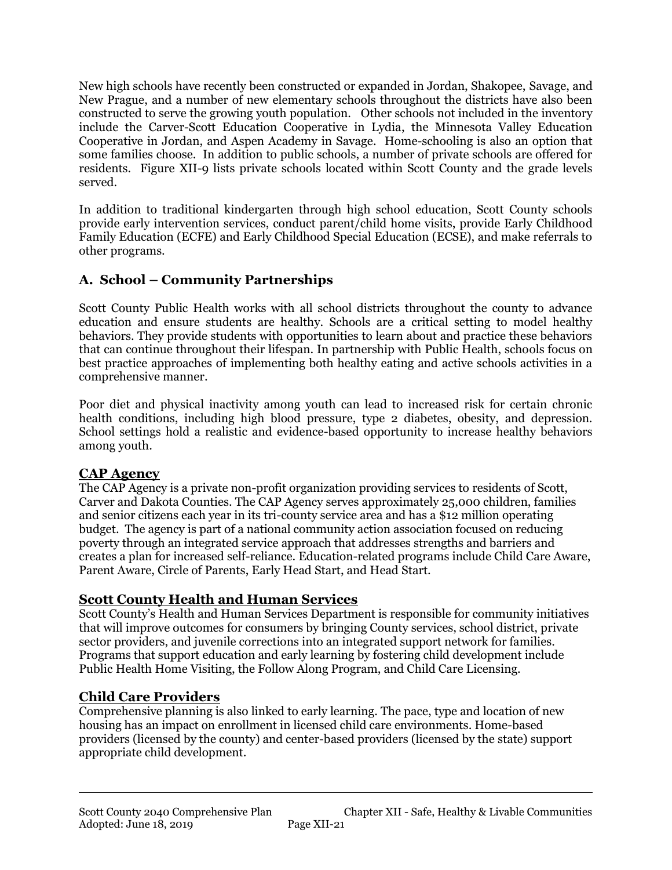New high schools have recently been constructed or expanded in Jordan, Shakopee, Savage, and New Prague, and a number of new elementary schools throughout the districts have also been constructed to serve the growing youth population. Other schools not included in the inventory include the Carver-Scott Education Cooperative in Lydia, the Minnesota Valley Education Cooperative in Jordan, and Aspen Academy in Savage. Home-schooling is also an option that some families choose. In addition to public schools, a number of private schools are offered for residents. Figure XII-9 lists private schools located within Scott County and the grade levels served.

In addition to traditional kindergarten through high school education, Scott County schools provide early intervention services, conduct parent/child home visits, provide Early Childhood Family Education (ECFE) and Early Childhood Special Education (ECSE), and make referrals to other programs.

# **A. School – Community Partnerships**

Scott County Public Health works with all school districts throughout the county to advance education and ensure students are healthy. Schools are a critical setting to model healthy behaviors. They provide students with opportunities to learn about and practice these behaviors that can continue throughout their lifespan. In partnership with Public Health, schools focus on best practice approaches of implementing both healthy eating and active schools activities in a comprehensive manner.

Poor diet and physical inactivity among youth can lead to increased risk for certain chronic health conditions, including high blood pressure, type 2 diabetes, obesity, and depression. School settings hold a realistic and evidence-based opportunity to increase healthy behaviors among youth.

### **CAP Agency**

The CAP Agency is a private non-profit organization providing services to residents of Scott, Carver and Dakota Counties. The CAP Agency serves approximately 25,000 children, families and senior citizens each year in its tri-county service area and has a \$12 million operating budget. The agency is part of a national community action association focused on reducing poverty through an integrated service approach that addresses strengths and barriers and creates a plan for increased self-reliance. Education-related programs include Child Care Aware, Parent Aware, Circle of Parents, Early Head Start, and Head Start.

### **Scott County Health and Human Services**

Scott County's Health and Human Services Department is responsible for community initiatives that will improve outcomes for consumers by bringing County services, school district, private sector providers, and juvenile corrections into an integrated support network for families. Programs that support education and early learning by fostering child development include Public Health Home Visiting, the Follow Along Program, and Child Care Licensing.

# **Child Care Providers**

Comprehensive planning is also linked to early learning. The pace, type and location of new housing has an impact on enrollment in licensed child care environments. Home-based providers (licensed by the county) and center-based providers (licensed by the state) support appropriate child development.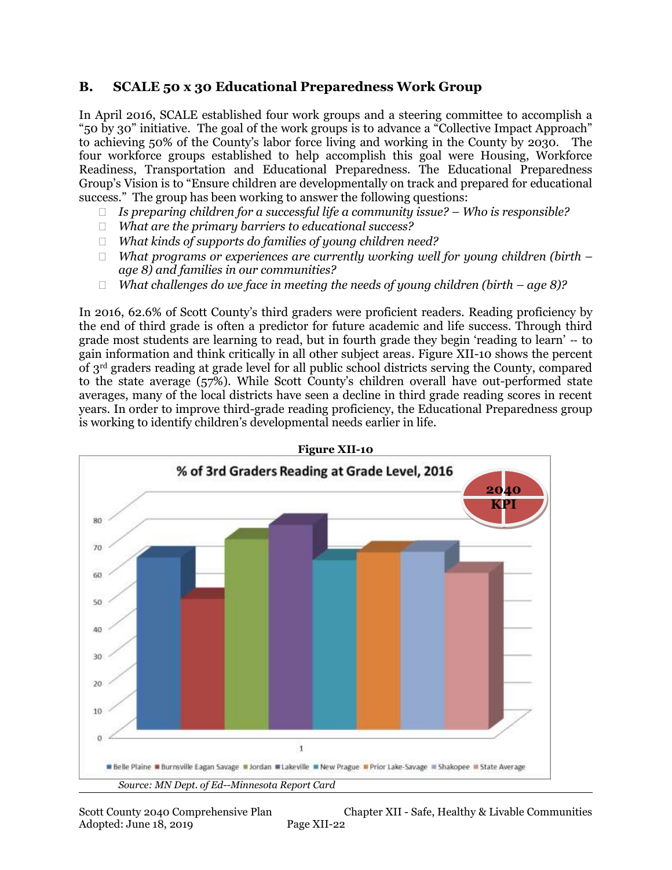#### **B. SCALE 50 x 30 Educational Preparedness Work Group**

In April 2016, SCALE established four work groups and a steering committee to accomplish a "50 by 30" initiative. The goal of the work groups is to advance a "Collective Impact Approach" to achieving 50% of the County's labor force living and working in the County by 2030. The four workforce groups established to help accomplish this goal were Housing, Workforce Readiness, Transportation and Educational Preparedness. The Educational Preparedness Group's Vision is to "Ensure children are developmentally on track and prepared for educational success." The group has been working to answer the following questions:

- *Is preparing children for a successful life a community issue? – Who is responsible?*
- *What are the primary barriers to educational success?*
- *What kinds of supports do families of young children need?*
- *What programs or experiences are currently working well for young children (birth – age 8) and families in our communities?*
- *What challenges do we face in meeting the needs of young children (birth – age 8)?*

In 2016, 62.6% of Scott County's third graders were proficient readers. Reading proficiency by the end of third grade is often a predictor for future academic and life success. Through third grade most students are learning to read, but in fourth grade they begin 'reading to learn' ‐‐ to gain information and think critically in all other subject areas. Figure XII-10 shows the percent of 3rd graders reading at grade level for all public school districts serving the County, compared to the state average (57%). While Scott County's children overall have out-performed state averages, many of the local districts have seen a decline in third grade reading scores in recent years. In order to improve third-grade reading proficiency, the Educational Preparedness group is working to identify children's developmental needs earlier in life.



Scott County 2040 Comprehensive Plan Chapter XII - Safe, Healthy & Livable Communities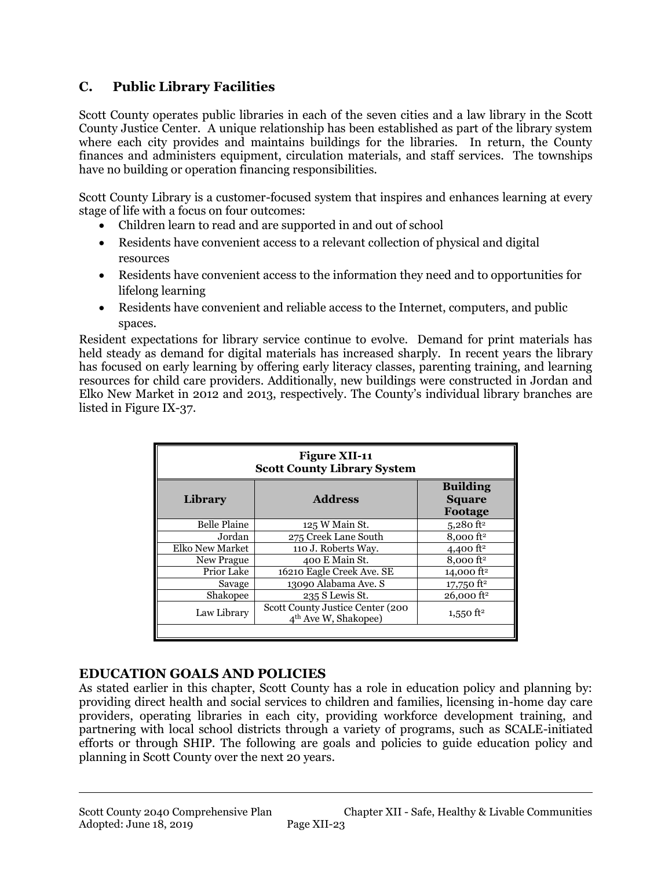# **C. Public Library Facilities**

Scott County operates public libraries in each of the seven cities and a law library in the Scott County Justice Center. A unique relationship has been established as part of the library system where each city provides and maintains buildings for the libraries. In return, the County finances and administers equipment, circulation materials, and staff services. The townships have no building or operation financing responsibilities.

Scott County Library is a customer-focused system that inspires and enhances learning at every stage of life with a focus on four outcomes:

- Children learn to read and are supported in and out of school
- Residents have convenient access to a relevant collection of physical and digital resources
- Residents have convenient access to the information they need and to opportunities for lifelong learning
- Residents have convenient and reliable access to the Internet, computers, and public spaces.

Resident expectations for library service continue to evolve. Demand for print materials has held steady as demand for digital materials has increased sharply. In recent years the library has focused on early learning by offering early literacy classes, parenting training, and learning resources for child care providers. Additionally, new buildings were constructed in Jordan and Elko New Market in 2012 and 2013, respectively. The County's individual library branches are listed in Figure IX-37.

| <b>Figure XII-11</b><br><b>Scott County Library System</b> |                                                                      |                                             |  |  |
|------------------------------------------------------------|----------------------------------------------------------------------|---------------------------------------------|--|--|
| Library                                                    | <b>Address</b>                                                       | <b>Building</b><br><b>Square</b><br>Footage |  |  |
| <b>Belle Plaine</b>                                        | 125 W Main St.                                                       | $5,280$ ft <sup>2</sup>                     |  |  |
| Jordan                                                     | 275 Creek Lane South                                                 | $8,000$ ft <sup>2</sup>                     |  |  |
| Elko New Market                                            | 110 J. Roberts Way.                                                  | 4,400 $ft^2$                                |  |  |
| New Prague                                                 | 400 E Main St.                                                       | $8,000$ ft <sup>2</sup>                     |  |  |
| Prior Lake                                                 | 16210 Eagle Creek Ave. SE                                            | 14,000 $ft^2$                               |  |  |
| Savage                                                     | 13090 Alabama Ave. S                                                 | $17,750$ ft <sup>2</sup>                    |  |  |
| Shakopee                                                   | 235 S Lewis St.                                                      | $26,000$ ft <sup>2</sup>                    |  |  |
| Law Library                                                | Scott County Justice Center (200<br>4 <sup>th</sup> Ave W, Shakopee) | 1,550 ft <sup>2</sup>                       |  |  |

### **EDUCATION GOALS AND POLICIES**

As stated earlier in this chapter, Scott County has a role in education policy and planning by: providing direct health and social services to children and families, licensing in-home day care providers, operating libraries in each city, providing workforce development training, and partnering with local school districts through a variety of programs, such as SCALE-initiated efforts or through SHIP. The following are goals and policies to guide education policy and planning in Scott County over the next 20 years.